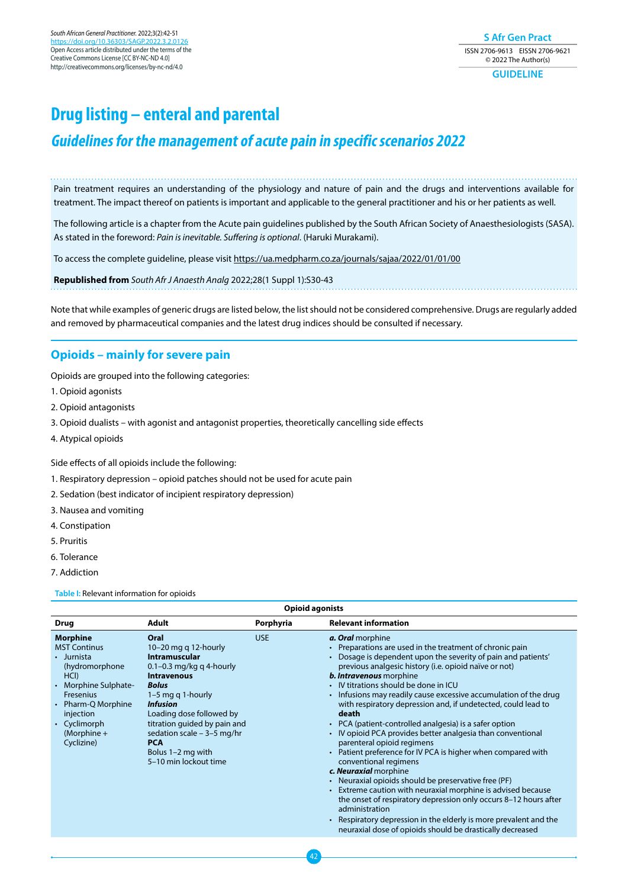**S Afr Gen Pract** ISSN 2706-9613 EISSN 2706-9621 © 2022 The Author(s) **GUIDELINE**

# **Drug listing – enteral and parental**

## **Guidelines for the management of acute pain in specific scenarios 2022**

Pain treatment requires an understanding of the physiology and nature of pain and the drugs and interventions available for treatment. The impact thereof on patients is important and applicable to the general practitioner and his or her patients as well.

The following article is a chapter from the Acute pain guidelines published by the South African Society of Anaesthesiologists (SASA). As stated in the foreword: *Pain is inevitable. Suffering is optional*. (Haruki Murakami).

To access the complete guideline, please visit <https://ua.medpharm.co.za/journals/sajaa/2022/01/01/00>

**Republished from** *South Afr J Anaesth Analg* 2022;28(1 Suppl 1):S30-43

Note that while examples of generic drugs are listed below, the list should not be considered comprehensive. Drugs are regularly added and removed by pharmaceutical companies and the latest drug indices should be consulted if necessary.

## **Opioids – mainly for severe pain**

Opioids are grouped into the following categories:

- 1. Opioid agonists
- 2. Opioid antagonists
- 3. Opioid dualists with agonist and antagonist properties, theoretically cancelling side effects
- 4. Atypical opioids

Side effects of all opioids include the following:

- 1. Respiratory depression opioid patches should not be used for acute pain
- 2. Sedation (best indicator of incipient respiratory depression)
- 3. Nausea and vomiting
- 4. Constipation
- 5. Pruritis
- 6. Tolerance
- 7. Addiction

**Table I:** Relevant information for opioids

| <b>Opioid agonists</b>                                                                                                                                                                                                  |                                                                                                                                                                                                                                                                                                                    |            |                                                                                                                                                                                                                                                                                                                                                                                                                                                                                                                                                                                                                                                                                                                                                                                                                                                                                                                                                                                                                                                                                                         |  |  |
|-------------------------------------------------------------------------------------------------------------------------------------------------------------------------------------------------------------------------|--------------------------------------------------------------------------------------------------------------------------------------------------------------------------------------------------------------------------------------------------------------------------------------------------------------------|------------|---------------------------------------------------------------------------------------------------------------------------------------------------------------------------------------------------------------------------------------------------------------------------------------------------------------------------------------------------------------------------------------------------------------------------------------------------------------------------------------------------------------------------------------------------------------------------------------------------------------------------------------------------------------------------------------------------------------------------------------------------------------------------------------------------------------------------------------------------------------------------------------------------------------------------------------------------------------------------------------------------------------------------------------------------------------------------------------------------------|--|--|
| <b>Drug</b>                                                                                                                                                                                                             | <b>Adult</b>                                                                                                                                                                                                                                                                                                       | Porphyria  | <b>Relevant information</b>                                                                                                                                                                                                                                                                                                                                                                                                                                                                                                                                                                                                                                                                                                                                                                                                                                                                                                                                                                                                                                                                             |  |  |
| <b>Morphine</b><br><b>MST Continus</b><br>• Jurnista<br>(hydromorphone<br>HCI)<br>• Morphine Sulphate-<br><b>Fresenius</b><br>Pharm-Q Morphine<br>$\bullet$<br>injection<br>• Cyclimorph<br>(Morphine $+$<br>Cyclizine) | Oral<br>$10-20$ mg q 12-hourly<br>Intramuscular<br>0.1–0.3 mg/kg q 4-hourly<br><b>Intravenous</b><br><b>Bolus</b><br>$1-5$ mg q 1-hourly<br><b>Infusion</b><br>Loading dose followed by<br>titration guided by pain and<br>sedation scale $-3-5$ mg/hr<br><b>PCA</b><br>Bolus 1-2 mg with<br>5-10 min lockout time | <b>USE</b> | a. Oral morphine<br>Preparations are used in the treatment of chronic pain<br>Dosage is dependent upon the severity of pain and patients'<br>previous analgesic history (i.e. opioid naïve or not)<br><b>b. Intravenous</b> morphine<br>IV titrations should be done in ICU<br>$\bullet$<br>Infusions may readily cause excessive accumulation of the drug<br>$\bullet$<br>with respiratory depression and, if undetected, could lead to<br>death<br>PCA (patient-controlled analgesia) is a safer option<br>٠<br>IV opioid PCA provides better analgesia than conventional<br>٠<br>parenteral opioid regimens<br>Patient preference for IV PCA is higher when compared with<br>conventional regimens<br>c. Neuraxial morphine<br>Neuraxial opioids should be preservative free (PF)<br>٠<br>Extreme caution with neuraxial morphine is advised because<br>$\bullet$<br>the onset of respiratory depression only occurs 8-12 hours after<br>administration<br>Respiratory depression in the elderly is more prevalent and the<br>$\bullet$<br>neuraxial dose of opioids should be drastically decreased |  |  |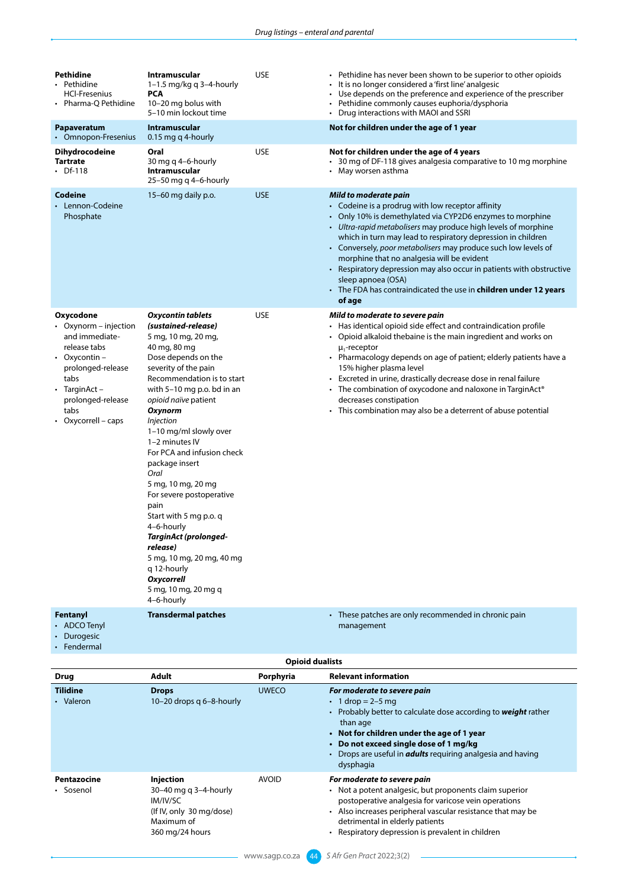| Pethidine<br>• Pethidine<br><b>HCI-Fresenius</b><br>• Pharma-Q Pethidine                                                                                                                | <b>Intramuscular</b><br>1-1.5 mg/kg q 3-4-hourly<br><b>PCA</b><br>10-20 mg bolus with<br>5-10 min lockout time                                                                                                                                                                                                                                                                                                                                                                                                                                                                                             | USE        | • Pethidine has never been shown to be superior to other opioids<br>It is no longer considered a 'first line' analgesic<br>Use depends on the preference and experience of the prescriber<br>• Pethidine commonly causes euphoria/dysphoria<br>• Drug interactions with MAOI and SSRI                                                                                                                                                                                                                                                                                 |
|-----------------------------------------------------------------------------------------------------------------------------------------------------------------------------------------|------------------------------------------------------------------------------------------------------------------------------------------------------------------------------------------------------------------------------------------------------------------------------------------------------------------------------------------------------------------------------------------------------------------------------------------------------------------------------------------------------------------------------------------------------------------------------------------------------------|------------|-----------------------------------------------------------------------------------------------------------------------------------------------------------------------------------------------------------------------------------------------------------------------------------------------------------------------------------------------------------------------------------------------------------------------------------------------------------------------------------------------------------------------------------------------------------------------|
| Papaveratum<br>• Omnopon-Fresenius                                                                                                                                                      | <b>Intramuscular</b><br>0.15 mg q 4-hourly                                                                                                                                                                                                                                                                                                                                                                                                                                                                                                                                                                 |            | Not for children under the age of 1 year                                                                                                                                                                                                                                                                                                                                                                                                                                                                                                                              |
| <b>Dihydrocodeine</b><br><b>Tartrate</b><br>Df-118                                                                                                                                      | Oral<br>30 mg q 4-6-hourly<br>Intramuscular<br>$25-50$ mg q 4-6-hourly                                                                                                                                                                                                                                                                                                                                                                                                                                                                                                                                     | <b>USE</b> | Not for children under the age of 4 years<br>• 30 mg of DF-118 gives analgesia comparative to 10 mg morphine<br>May worsen asthma                                                                                                                                                                                                                                                                                                                                                                                                                                     |
| Codeine<br>Lennon-Codeine<br>Phosphate                                                                                                                                                  | $15-60$ mg daily p.o.                                                                                                                                                                                                                                                                                                                                                                                                                                                                                                                                                                                      | <b>USE</b> | Mild to moderate pain<br>• Codeine is a prodrug with low receptor affinity<br>• Only 10% is demethylated via CYP2D6 enzymes to morphine<br>• Ultra-rapid metabolisers may produce high levels of morphine<br>which in turn may lead to respiratory depression in children<br>• Conversely, poor metabolisers may produce such low levels of<br>morphine that no analgesia will be evident<br>• Respiratory depression may also occur in patients with obstructive<br>sleep apnoea (OSA)<br>• The FDA has contraindicated the use in children under 12 years<br>of age |
| Oxycodone<br>• Oxynorm – injection<br>and immediate-<br>release tabs<br>• Oxycontin –<br>prolonged-release<br>tabs<br>• TarginAct –<br>prolonged-release<br>tabs<br>• Oxycorrell – caps | <b>Oxycontin tablets</b><br>(sustained-release)<br>5 mg, 10 mg, 20 mg,<br>40 mg, 80 mg<br>Dose depends on the<br>severity of the pain<br>Recommendation is to start<br>with 5-10 mg p.o. bd in an<br>opioid naïve patient<br>Oxynorm<br><i>Injection</i><br>1–10 mg/ml slowly over<br>1-2 minutes IV<br>For PCA and infusion check<br>package insert<br>Oral<br>5 mg, 10 mg, 20 mg<br>For severe postoperative<br>pain<br>Start with 5 mg p.o. q<br>4-6-hourly<br>TarginAct (prolonged-<br>release)<br>5 mg, 10 mg, 20 mg, 40 mg<br>q 12-hourly<br><b>Oxycorrell</b><br>5 mg, 10 mg, 20 mg q<br>4-6-hourly | <b>USE</b> | Mild to moderate to severe pain<br>• Has identical opioid side effect and contraindication profile<br>• Opioid alkaloid thebaine is the main ingredient and works on<br>$\mu$ -receptor<br>• Pharmacology depends on age of patient; elderly patients have a<br>15% higher plasma level<br>Excreted in urine, drastically decrease dose in renal failure<br>• The combination of oxycodone and naloxone in TarginAct <sup>®</sup><br>decreases constipation<br>• This combination may also be a deterrent of abuse potential                                          |
| Fentanyl<br>• ADCO Tenyl<br>• Durogesic<br>• Fendermal                                                                                                                                  | <b>Transdermal patches</b>                                                                                                                                                                                                                                                                                                                                                                                                                                                                                                                                                                                 |            | • These patches are only recommended in chronic pain<br>management                                                                                                                                                                                                                                                                                                                                                                                                                                                                                                    |

|                              | <b>Opioid dualists</b>                                                                                      |              |                                                                                                                                                                                                                                                                                                                             |  |  |
|------------------------------|-------------------------------------------------------------------------------------------------------------|--------------|-----------------------------------------------------------------------------------------------------------------------------------------------------------------------------------------------------------------------------------------------------------------------------------------------------------------------------|--|--|
| <b>Drug</b>                  | Adult                                                                                                       | Porphyria    | <b>Relevant information</b>                                                                                                                                                                                                                                                                                                 |  |  |
| <b>Tilidine</b><br>• Valeron | <b>Drops</b><br>10-20 drops g 6-8-hourly                                                                    | <b>UWECO</b> | For moderate to severe pain<br>• 1 drop = $2 - 5$ mg<br>• Probably better to calculate dose according to <b>weight</b> rather<br>than age<br>• Not for children under the age of 1 year<br>• Do not exceed single dose of 1 mg/kg<br>• Drops are useful in <b><i>adults</i></b> requiring analgesia and having<br>dysphagia |  |  |
| Pentazocine<br>• Sosenol     | Injection<br>30-40 mg g 3-4-hourly<br>IM/IV/SC<br>(If IV, only 30 mg/dose)<br>Maximum of<br>360 mg/24 hours | <b>AVOID</b> | For moderate to severe pain<br>• Not a potent analgesic, but proponents claim superior<br>postoperative analgesia for varicose vein operations<br>Also increases peripheral vascular resistance that may be<br>detrimental in elderly patients<br>Respiratory depression is prevalent in children                           |  |  |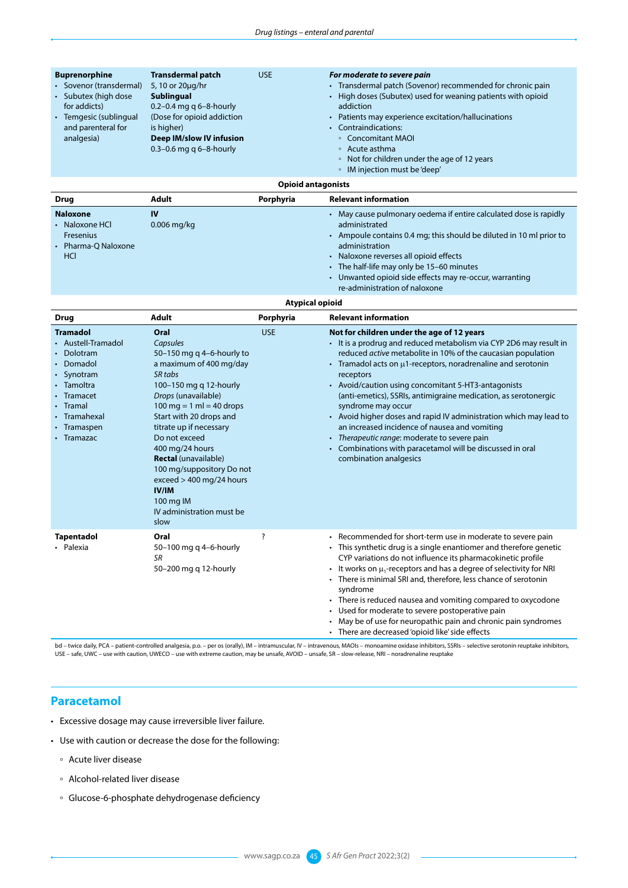| <b>Buprenorphine</b><br>• Sovenor (transdermal)<br>• Subutex (high dose<br>for addicts)<br>• Temgesic (sublingual<br>and parenteral for<br>analgesia) | <b>Transdermal patch</b><br>5, 10 or 20µg/hr<br><b>Sublingual</b><br>0.2-0.4 mg q $6 - 8$ -hourly<br>(Dose for opioid addiction<br>is higher)<br>Deep IM/slow IV infusion<br>0.3-0.6 mg q $6 - 8$ -hourly                                                                                                                                                                                                              | <b>USE</b>                | For moderate to severe pain<br>Transdermal patch (Sovenor) recommended for chronic pain<br>$\bullet$<br>High doses (Subutex) used for weaning patients with opioid<br>$\bullet$<br>addiction<br>Patients may experience excitation/hallucinations<br>$\bullet$<br><b>Contraindications:</b><br>◦ Concomitant MAOI<br>• Acute asthma<br>Not for children under the age of 12 years<br>$\circ$<br>• IM injection must be 'deep'                                                                                                                                                                                                                                                |
|-------------------------------------------------------------------------------------------------------------------------------------------------------|------------------------------------------------------------------------------------------------------------------------------------------------------------------------------------------------------------------------------------------------------------------------------------------------------------------------------------------------------------------------------------------------------------------------|---------------------------|------------------------------------------------------------------------------------------------------------------------------------------------------------------------------------------------------------------------------------------------------------------------------------------------------------------------------------------------------------------------------------------------------------------------------------------------------------------------------------------------------------------------------------------------------------------------------------------------------------------------------------------------------------------------------|
|                                                                                                                                                       |                                                                                                                                                                                                                                                                                                                                                                                                                        | <b>Opioid antagonists</b> |                                                                                                                                                                                                                                                                                                                                                                                                                                                                                                                                                                                                                                                                              |
| Drug                                                                                                                                                  | Adult                                                                                                                                                                                                                                                                                                                                                                                                                  | Porphyria                 | <b>Relevant information</b>                                                                                                                                                                                                                                                                                                                                                                                                                                                                                                                                                                                                                                                  |
| <b>Naloxone</b><br>• Naloxone HCl<br>Fresenius<br>Pharma-Q Naloxone<br>HCI                                                                            | IV<br>0.006 mg/kg                                                                                                                                                                                                                                                                                                                                                                                                      |                           | • May cause pulmonary oedema if entire calculated dose is rapidly<br>administrated<br>• Ampoule contains 0.4 mg; this should be diluted in 10 ml prior to<br>administration<br>Naloxone reverses all opioid effects<br>$\bullet$<br>• The half-life may only be 15-60 minutes<br>• Unwanted opioid side effects may re-occur, warranting<br>re-administration of naloxone                                                                                                                                                                                                                                                                                                    |
|                                                                                                                                                       |                                                                                                                                                                                                                                                                                                                                                                                                                        | <b>Atypical opioid</b>    |                                                                                                                                                                                                                                                                                                                                                                                                                                                                                                                                                                                                                                                                              |
| Drug                                                                                                                                                  | Adult                                                                                                                                                                                                                                                                                                                                                                                                                  | Porphyria                 | <b>Relevant information</b>                                                                                                                                                                                                                                                                                                                                                                                                                                                                                                                                                                                                                                                  |
| <b>Tramadol</b><br>• Austell-Tramadol<br>Dolotram<br>Domadol<br>Synotram<br>Tamoltra<br>Tramacet<br>• Tramal<br>Tramahexal<br>Tramaspen<br>• Tramazac | Oral<br>Capsules<br>50-150 mg q 4-6-hourly to<br>a maximum of 400 mg/day<br>SR tabs<br>100-150 mg q 12-hourly<br>Drops (unavailable)<br>100 mg = 1 ml = 40 drops<br>Start with 20 drops and<br>titrate up if necessary<br>Do not exceed<br>400 mg/24 hours<br><b>Rectal</b> (unavailable)<br>100 mg/suppository Do not<br>$exceed$ > 400 mg/24 hours<br><b>IV/IM</b><br>100 mg IM<br>IV administration must be<br>slow | <b>USE</b>                | Not for children under the age of 12 years<br>• It is a prodrug and reduced metabolism via CYP 2D6 may result in<br>reduced active metabolite in 10% of the caucasian population<br>• Tramadol acts on $\mu$ 1-receptors, noradrenaline and serotonin<br>receptors<br>• Avoid/caution using concomitant 5-HT3-antagonists<br>(anti-emetics), SSRIs, antimigraine medication, as serotonergic<br>syndrome may occur<br>• Avoid higher doses and rapid IV administration which may lead to<br>an increased incidence of nausea and vomiting<br>Therapeutic range: moderate to severe pain<br>Combinations with paracetamol will be discussed in oral<br>combination analgesics |
| Tapentadol<br>• Palexia                                                                                                                               | Oral<br>50-100 mg q 4-6-hourly<br>SR<br>50-200 mg q 12-hourly                                                                                                                                                                                                                                                                                                                                                          |                           | • Recommended for short-term use in moderate to severe pain<br>• This synthetic drug is a single enantiomer and therefore genetic<br>CYP variations do not influence its pharmacokinetic profile<br>It works on $\mu_1$ -receptors and has a degree of selectivity for NRI<br>• There is minimal SRI and, therefore, less chance of serotonin<br>syndrome<br>• There is reduced nausea and vomiting compared to oxycodone<br>Used for moderate to severe postoperative pain<br>$\bullet$<br>May be of use for neuropathic pain and chronic pain syndromes<br>$\bullet$<br>• There are decreased 'opioid like' side effects                                                   |

bd – twice daily, PCA – patient-controlled analgesia, p.o. – per os (orally), IM – intramuscular, IV – intravenous, MAOIs – monoamine oxidase inhibitors, SSRIs – selective serotonin reuptake inhibitors,<br>USE – safe, UWC – u

### **Paracetamol**

- Excessive dosage may cause irreversible liver failure.
- Use with caution or decrease the dose for the following:
	- Acute liver disease
	- Alcohol-related liver disease
	- Glucose-6-phosphate dehydrogenase deficiency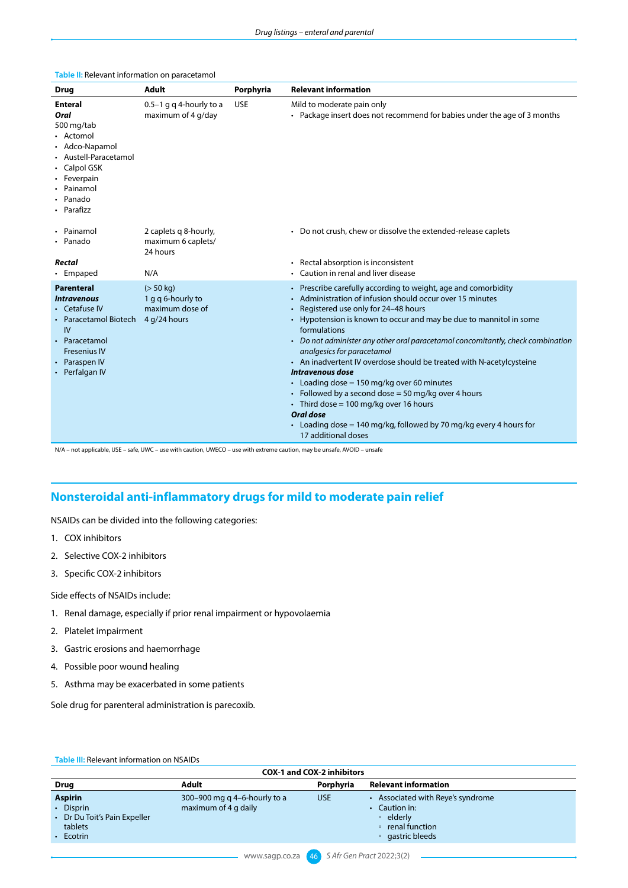| <b>Drug</b>                                                                                                                                                               | <b>Adult</b>                                                      | Porphyria  | <b>Relevant information</b>                                                                                                                                                                                                                                                                                                                                                                                                                                                                                                                                                                                                                                                                                                |
|---------------------------------------------------------------------------------------------------------------------------------------------------------------------------|-------------------------------------------------------------------|------------|----------------------------------------------------------------------------------------------------------------------------------------------------------------------------------------------------------------------------------------------------------------------------------------------------------------------------------------------------------------------------------------------------------------------------------------------------------------------------------------------------------------------------------------------------------------------------------------------------------------------------------------------------------------------------------------------------------------------------|
| <b>Enteral</b><br><b>Oral</b><br>500 mg/tab<br>• Actomol<br>• Adco-Napamol<br>• Austell-Paracetamol<br>• Calpol GSK<br>• Feverpain<br>Painamol<br>Panado<br>• Parafizz    | 0.5-1 g q 4-hourly to a<br>maximum of 4 g/day                     | <b>USE</b> | Mild to moderate pain only<br>• Package insert does not recommend for babies under the age of 3 months                                                                                                                                                                                                                                                                                                                                                                                                                                                                                                                                                                                                                     |
| Painamol<br>• Panado<br>Rectal<br>• Empaped                                                                                                                               | 2 caplets g 8-hourly,<br>maximum 6 caplets/<br>24 hours<br>N/A    |            | • Do not crush, chew or dissolve the extended-release caplets<br>Rectal absorption is inconsistent<br>Caution in renal and liver disease                                                                                                                                                                                                                                                                                                                                                                                                                                                                                                                                                                                   |
| <b>Parenteral</b><br><i><b>Intravenous</b></i><br>• Cetafuse IV<br>• Paracetamol Biotech<br>IV<br>• Paracetamol<br><b>Fresenius IV</b><br>• Paraspen IV<br>• Perfalgan IV | (> 50 kg)<br>1 g g 6-hourly to<br>maximum dose of<br>4 g/24 hours |            | • Prescribe carefully according to weight, age and comorbidity<br>Administration of infusion should occur over 15 minutes<br>Registered use only for 24-48 hours<br>Hypotension is known to occur and may be due to mannitol in some<br>formulations<br>• Do not administer any other oral paracetamol concomitantly, check combination<br>analgesics for paracetamol<br>• An inadvertent IV overdose should be treated with N-acetylcysteine<br>Intravenous dose<br>• Loading dose = 150 mg/kg over 60 minutes<br>• Followed by a second dose = 50 mg/kg over 4 hours<br>• Third dose = 100 mg/kg over 16 hours<br>Oral dose<br>• Loading dose = 140 mg/kg, followed by 70 mg/kg every 4 hours for<br>17 additional doses |

#### **Table II:** Relevant information on paracetamol

N/A – not applicable, USE – safe, UWC – use with caution, UWECO – use with extreme caution, may be unsafe, AVOID – unsafe

## **Nonsteroidal anti-inflammatory drugs for mild to moderate pain relief**

NSAIDs can be divided into the following categories:

- 1. COX inhibitors
- 2. Selective COX-2 inhibitors
- 3. Specific COX-2 inhibitors

Side effects of NSAIDs include:

- 1. Renal damage, especially if prior renal impairment or hypovolaemia
- 2. Platelet impairment
- 3. Gastric erosions and haemorrhage
- 4. Possible poor wound healing
- 5. Asthma may be exacerbated in some patients

Sole drug for parenteral administration is parecoxib.

|  | <b>Table III: Relevant information on NSAIDs</b> |  |
|--|--------------------------------------------------|--|
|  |                                                  |  |

| <b>COX-1 and COX-2 inhibitors</b>                                                         |                                                      |            |                                                                                                     |
|-------------------------------------------------------------------------------------------|------------------------------------------------------|------------|-----------------------------------------------------------------------------------------------------|
| <b>Drug</b>                                                                               | Adult                                                | Porphyria  | <b>Relevant information</b>                                                                         |
| <b>Aspirin</b><br>• Disprin<br>• Dr Du Toit's Pain Expeller<br>tablets<br>$\cdot$ Ecotrin | 300–900 mg q 4–6-hourly to a<br>maximum of 4 g daily | <b>USE</b> | Associated with Reye's syndrome<br>Caution in:<br>• elderly<br>• renal function<br>• gastric bleeds |
|                                                                                           |                                                      |            |                                                                                                     |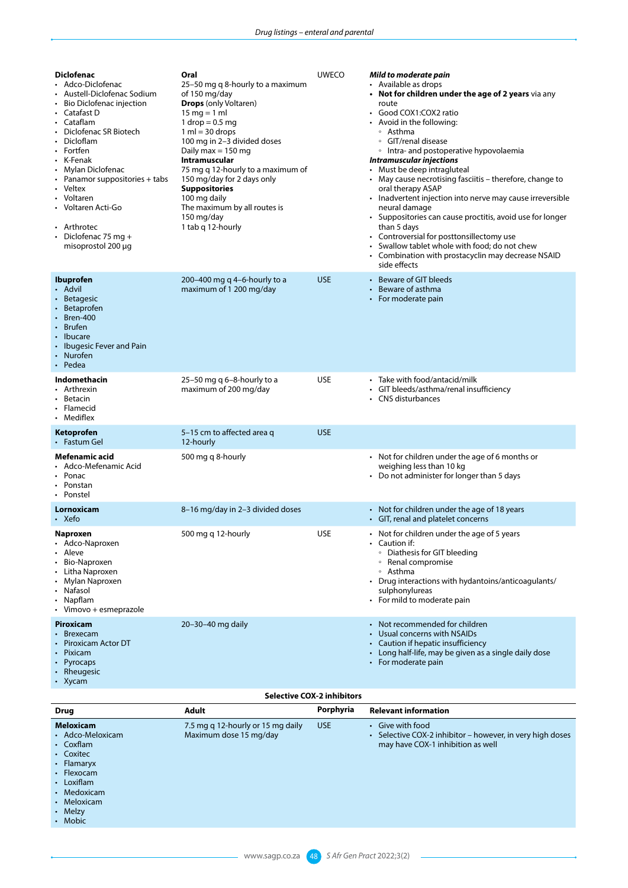| <b>Diclofenac</b><br>• Adco-Diclofenac<br>Austell-Diclofenac Sodium<br>• Bio Diclofenac injection<br>• Catafast D<br>• Cataflam<br>Diclofenac SR Biotech<br>Dicloflam<br>• Fortfen<br>• K-Fenak<br>• Mylan Diclofenac<br>• Panamor suppositories + tabs<br>• Veltex<br>• Voltaren<br>Voltaren Acti-Go<br>• Arthrotec<br>Diclofenac 75 mg +<br>misoprostol 200 µg | Oral<br>25–50 mg q 8-hourly to a maximum<br>of 150 mg/day<br><b>Drops</b> (only Voltaren)<br>15 mg = 1 ml<br>1 drop $= 0.5$ mg<br>$1 ml = 30 drops$<br>100 mg in 2-3 divided doses<br>Daily max $= 150$ mg<br>Intramuscular<br>75 mg q 12-hourly to a maximum of<br>150 mg/day for 2 days only<br><b>Suppositories</b><br>100 mg daily<br>The maximum by all routes is<br>150 mg/day<br>1 tab g 12-hourly | <b>UWECO</b> | Mild to moderate pain<br>• Available as drops<br>• Not for children under the age of 2 years via any<br>route<br>• Good COX1:COX2 ratio<br>• Avoid in the following:<br>∘ Asthma<br>• GIT/renal disease<br>• Intra- and postoperative hypovolaemia<br><b>Intramuscular injections</b><br>• Must be deep intragluteal<br>• May cause necrotising fasciitis - therefore, change to<br>oral therapy ASAP<br>• Inadvertent injection into nerve may cause irreversible<br>neural damage<br>• Suppositories can cause proctitis, avoid use for longer<br>than 5 days<br>• Controversial for posttonsillectomy use<br>Swallow tablet whole with food; do not chew<br>• Combination with prostacyclin may decrease NSAID<br>side effects |
|------------------------------------------------------------------------------------------------------------------------------------------------------------------------------------------------------------------------------------------------------------------------------------------------------------------------------------------------------------------|-----------------------------------------------------------------------------------------------------------------------------------------------------------------------------------------------------------------------------------------------------------------------------------------------------------------------------------------------------------------------------------------------------------|--------------|-----------------------------------------------------------------------------------------------------------------------------------------------------------------------------------------------------------------------------------------------------------------------------------------------------------------------------------------------------------------------------------------------------------------------------------------------------------------------------------------------------------------------------------------------------------------------------------------------------------------------------------------------------------------------------------------------------------------------------------|
| <b>Ibuprofen</b><br>• Advil<br><b>Betagesic</b><br>• Betaprofen<br>Bren-400<br>• Brufen<br>Ibucare<br>• Ibugesic Fever and Pain<br>• Nurofen<br>• Pedea                                                                                                                                                                                                          | 200–400 mg q 4–6-hourly to a<br>maximum of 1 200 mg/day                                                                                                                                                                                                                                                                                                                                                   | <b>USE</b>   | • Beware of GIT bleeds<br>Beware of asthma<br>$\bullet$<br>• For moderate pain                                                                                                                                                                                                                                                                                                                                                                                                                                                                                                                                                                                                                                                    |
| Indomethacin<br>• Arthrexin<br>Betacin<br>• Flamecid<br>• Mediflex                                                                                                                                                                                                                                                                                               | 25-50 mg q 6-8-hourly to a<br>maximum of 200 mg/day                                                                                                                                                                                                                                                                                                                                                       | <b>USE</b>   | Take with food/antacid/milk<br>• GIT bleeds/asthma/renal insufficiency<br>• CNS disturbances                                                                                                                                                                                                                                                                                                                                                                                                                                                                                                                                                                                                                                      |
| Ketoprofen<br>• Fastum Gel                                                                                                                                                                                                                                                                                                                                       | 5–15 cm to affected area q<br>12-hourly                                                                                                                                                                                                                                                                                                                                                                   | <b>USE</b>   |                                                                                                                                                                                                                                                                                                                                                                                                                                                                                                                                                                                                                                                                                                                                   |
| Mefenamic acid<br>Adco-Mefenamic Acid<br>Ponac<br>• Ponstan<br>• Ponstel                                                                                                                                                                                                                                                                                         | 500 mg q 8-hourly                                                                                                                                                                                                                                                                                                                                                                                         |              | • Not for children under the age of 6 months or<br>weighing less than 10 kg<br>• Do not administer for longer than 5 days                                                                                                                                                                                                                                                                                                                                                                                                                                                                                                                                                                                                         |
| Lornoxicam<br>$\cdot$ Xefo                                                                                                                                                                                                                                                                                                                                       | 8-16 mg/day in 2-3 divided doses                                                                                                                                                                                                                                                                                                                                                                          |              | • Not for children under the age of 18 years<br>• GIT, renal and platelet concerns                                                                                                                                                                                                                                                                                                                                                                                                                                                                                                                                                                                                                                                |
| <b>Naproxen</b><br>Adco-Naproxen<br>Aleve<br>Bio-Naproxen<br>Litha Naproxen<br>Mylan Naproxen<br>• Nafasol<br>• Napflam<br>• Vimovo + esmeprazole                                                                                                                                                                                                                | 500 mg g 12-hourly                                                                                                                                                                                                                                                                                                                                                                                        | <b>USE</b>   | • Not for children under the age of 5 years<br>$\cdot$ Caution if:<br>• Diathesis for GIT bleeding<br>• Renal compromise<br>∘ Asthma<br>• Drug interactions with hydantoins/anticoagulants/<br>sulphonylureas<br>• For mild to moderate pain                                                                                                                                                                                                                                                                                                                                                                                                                                                                                      |
| Piroxicam<br><b>Brexecam</b><br>Piroxicam Actor DT<br>Pixicam<br>Pyrocaps<br>Rheugesic<br>Xycam                                                                                                                                                                                                                                                                  | 20-30-40 mg daily                                                                                                                                                                                                                                                                                                                                                                                         |              | • Not recommended for children<br>Usual concerns with NSAIDs<br>• Caution if hepatic insufficiency<br>• Long half-life, may be given as a single daily dose<br>• For moderate pain                                                                                                                                                                                                                                                                                                                                                                                                                                                                                                                                                |

#### **Selective COX-2 inhibitors**

| <b>Drug</b>                                                                                                                                                        | <b>Adult</b>                                                | Porphyria  | <b>Relevant information</b>                                                                                        |
|--------------------------------------------------------------------------------------------------------------------------------------------------------------------|-------------------------------------------------------------|------------|--------------------------------------------------------------------------------------------------------------------|
| <b>Meloxicam</b><br>• Adco-Meloxicam<br>• Coxflam<br>• Coxitec<br>• Flamaryx<br>$\cdot$ Flexocam<br>• Loxiflam<br>• Medoxicam<br>• Meloxicam<br>• Melzy<br>• Mobic | 7.5 mg q 12-hourly or 15 mg daily<br>Maximum dose 15 mg/day | <b>USE</b> | • Give with food<br>• Selective COX-2 inhibitor – however, in very high doses<br>may have COX-1 inhibition as well |
|                                                                                                                                                                    |                                                             |            |                                                                                                                    |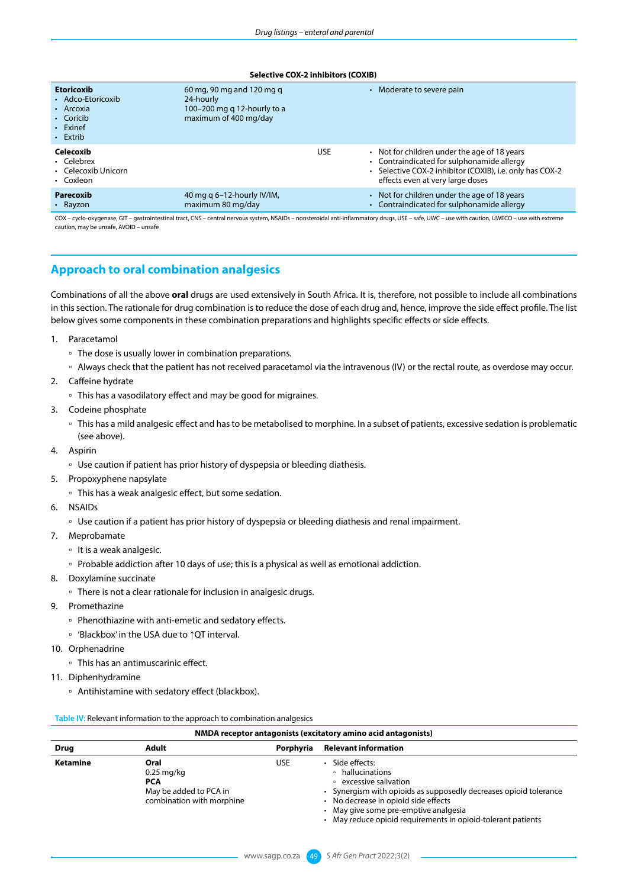#### **Selective COX-2 inhibitors (COXIB)**

| <b>Etoricoxib</b><br>• Adco-Etoricoxib<br>• Arcoxia<br>• Coricib<br>Exinef<br>$\cdot$ Extrib | 60 mg, 90 mg and 120 mg g<br>24-hourly<br>100-200 mg g 12-hourly to a<br>maximum of 400 mg/day |            | Moderate to severe pain                                                                                                                                                                    |
|----------------------------------------------------------------------------------------------|------------------------------------------------------------------------------------------------|------------|--------------------------------------------------------------------------------------------------------------------------------------------------------------------------------------------|
| Celecoxib<br>• Celebrex<br>• Celecoxib Unicorn<br>• Coxleon                                  |                                                                                                | <b>USE</b> | • Not for children under the age of 18 years<br>• Contraindicated for sulphonamide allergy<br>• Selective COX-2 inhibitor (COXIB), i.e. only has COX-2<br>effects even at very large doses |
| Parecoxib<br>• Rayzon                                                                        | 40 mg q 6-12-hourly IV/IM,<br>maximum 80 mg/day                                                |            | Not for children under the age of 18 years<br>Contraindicated for sulphonamide allergy                                                                                                     |

COX – cyclo-oxygenase, GIT – gastrointestinal tract, CNS – central nervous system, NSAIDs – nonsteroidal anti-inflammatory drugs, USE – safe, UWC – use with caution, UWECO – use with extreme caution, may be unsafe, AVOID – unsafe

## **Approach to oral combination analgesics**

Combinations of all the above **oral** drugs are used extensively in South Africa. It is, therefore, not possible to include all combinations in this section. The rationale for drug combination is to reduce the dose of each drug and, hence, improve the side effect profile. The list below gives some components in these combination preparations and highlights specific effects or side effects.

- 1. Paracetamol
	- The dose is usually lower in combination preparations.
	- Always check that the patient has not received paracetamol via the intravenous (IV) or the rectal route, as overdose may occur.
- 2. Caffeine hydrate
	- This has a vasodilatory effect and may be good for migraines.
- 3. Codeine phosphate
	- This has a mild analgesic effect and has to be metabolised to morphine. In a subset of patients, excessive sedation is problematic (see above).
- 4. Aspirin
	- □ Use caution if patient has prior history of dyspepsia or bleeding diathesis.
- 5. Propoxyphene napsylate
	- This has a weak analgesic effect, but some sedation.
- 6. NSAIDs
	- Use caution if a patient has prior history of dyspepsia or bleeding diathesis and renal impairment.
- 7. Meprobamate
	- It is a weak analgesic.
	- Probable addiction after 10 days of use; this is a physical as well as emotional addiction.
- 8. Doxylamine succinate
	- There is not a clear rationale for inclusion in analgesic drugs.
- 9. Promethazine
	- Phenothiazine with anti-emetic and sedatory effects.
	- 'Blackbox' in the USA due to ↑QT interval.
- 10. Orphenadrine
	- This has an antimuscarinic effect.
- 11. Diphenhydramine
	- Antihistamine with sedatory effect (blackbox).

#### **Table IV:** Relevant information to the approach to combination analgesics

| NMDA receptor antagonists (excitatory amino acid antagonists) |                                                                                           |           |                                                                                                                                                                                                                                                                               |  |
|---------------------------------------------------------------|-------------------------------------------------------------------------------------------|-----------|-------------------------------------------------------------------------------------------------------------------------------------------------------------------------------------------------------------------------------------------------------------------------------|--|
| <b>Drug</b>                                                   | <b>Adult</b>                                                                              | Porphyria | <b>Relevant information</b>                                                                                                                                                                                                                                                   |  |
| Ketamine                                                      | Oral<br>$0.25$ mg/kg<br><b>PCA</b><br>May be added to PCA in<br>combination with morphine | USE.      | Side effects:<br>• hallucinations<br>• excessive salivation<br>Synergism with opioids as supposedly decreases opioid tolerance<br>No decrease in opioid side effects<br>• May give some pre-emptive analgesia<br>• May reduce opioid requirements in opioid-tolerant patients |  |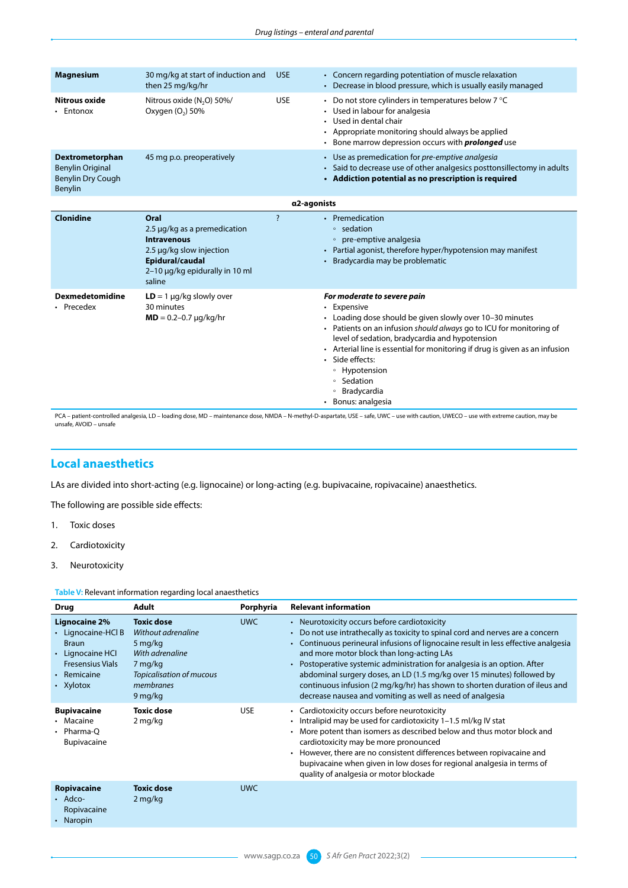| <b>Magnesium</b>                                                                  | 30 mg/kg at start of induction and<br>then 25 mg/kg/hr                                                                                                | <b>USE</b>         | • Concern regarding potentiation of muscle relaxation<br>• Decrease in blood pressure, which is usually easily managed                                                                                                                                                                                                                                                                                                    |
|-----------------------------------------------------------------------------------|-------------------------------------------------------------------------------------------------------------------------------------------------------|--------------------|---------------------------------------------------------------------------------------------------------------------------------------------------------------------------------------------------------------------------------------------------------------------------------------------------------------------------------------------------------------------------------------------------------------------------|
| Nitrous oxide<br>Entonox                                                          | Nitrous oxide (N <sub>2</sub> O) 50%/<br>Oxygen (O <sub>2</sub> ) 50%                                                                                 | <b>USE</b>         | • Do not store cylinders in temperatures below $7^{\circ}$ C<br>• Used in labour for analgesia<br>• Used in dental chair<br>• Appropriate monitoring should always be applied<br>• Bone marrow depression occurs with <b>prolonged</b> use                                                                                                                                                                                |
| Dextrometorphan<br><b>Benylin Original</b><br><b>Benylin Dry Cough</b><br>Benylin | 45 mg p.o. preoperatively                                                                                                                             |                    | • Use as premedication for pre-emptive analgesia<br>• Said to decrease use of other analgesics posttonsillectomy in adults<br>• Addiction potential as no prescription is required                                                                                                                                                                                                                                        |
|                                                                                   |                                                                                                                                                       | α2-agonists        |                                                                                                                                                                                                                                                                                                                                                                                                                           |
| Clonidine                                                                         | Oral<br>2.5 µg/kg as a premedication<br><b>Intravenous</b><br>2.5 µg/kg slow injection<br>Epidural/caudal<br>2-10 µg/kg epidurally in 10 ml<br>saline | $\overline{\cdot}$ | • Premedication<br>∘ sedation<br>• pre-emptive analgesia<br>• Partial agonist, therefore hyper/hypotension may manifest<br>Bradycardia may be problematic                                                                                                                                                                                                                                                                 |
| <b>Dexmedetomidine</b><br>• Precedex                                              | $LD = 1 \mu q/kg$ slowly over<br>30 minutes<br>$MD = 0.2 - 0.7 \mu q/kg/hr$                                                                           |                    | For moderate to severe pain<br>• Expensive<br>• Loading dose should be given slowly over 10-30 minutes<br>• Patients on an infusion should always go to ICU for monitoring of<br>level of sedation, bradycardia and hypotension<br>• Arterial line is essential for monitoring if drug is given as an infusion<br>· Side effects:<br>• Hypotension<br>Sedation<br>$\circ$<br>Bradycardia<br>$\circ$<br>• Bonus: analgesia |

PCA – patient-controlled analgesia, LD – loading dose, MD – maintenance dose, NMDA – N-methyl-D-aspartate, USE – safe, UWC – use with caution, UWECO – use with extreme caution, may be<br>unsafe, AVOID – unsafe

### **Local anaesthetics**

LAs are divided into short-acting (e.g. lignocaine) or long-acting (e.g. bupivacaine, ropivacaine) anaesthetics.

The following are possible side effects:

- 1. Toxic doses
- 2. Cardiotoxicity
- 3. Neurotoxicity

**Table V:** Relevant information regarding local anaesthetics

| <b>Drug</b>                                                                                                                    | <b>Adult</b>                                                                                                                         | Porphyria  | <b>Relevant information</b>                                                                                                                                                                                                                                                                                                                                                                                                                                                                                                                                          |
|--------------------------------------------------------------------------------------------------------------------------------|--------------------------------------------------------------------------------------------------------------------------------------|------------|----------------------------------------------------------------------------------------------------------------------------------------------------------------------------------------------------------------------------------------------------------------------------------------------------------------------------------------------------------------------------------------------------------------------------------------------------------------------------------------------------------------------------------------------------------------------|
| Lignocaine 2%<br>• Lignocaine-HCl B<br><b>Braun</b><br>• Lignocaine HCI<br><b>Fresensius Vials</b><br>• Remicaine<br>• Xylotox | <b>Toxic dose</b><br>Without adrenaline<br>5 mg/kg<br>With adrenaline<br>7 mg/kg<br>Topicalisation of mucous<br>membranes<br>9 mg/kg | <b>UWC</b> | • Neurotoxicity occurs before cardiotoxicity<br>• Do not use intrathecally as toxicity to spinal cord and nerves are a concern<br>• Continuous perineural infusions of lignocaine result in less effective analgesia<br>and more motor block than long-acting LAs<br>• Postoperative systemic administration for analgesia is an option. After<br>abdominal surgery doses, an LD (1.5 mg/kg over 15 minutes) followed by<br>continuous infusion (2 mg/kg/hr) has shown to shorten duration of ileus and<br>decrease nausea and vomiting as well as need of analgesia |
| <b>Bupivacaine</b><br>• Macaine<br>• Pharma-O<br>Bupivacaine                                                                   | <b>Toxic dose</b><br>2 mg/kg                                                                                                         | <b>USE</b> | • Cardiotoxicity occurs before neurotoxicity<br>• Intralipid may be used for cardiotoxicity 1-1.5 ml/kg IV stat<br>More potent than isomers as described below and thus motor block and<br>cardiotoxicity may be more pronounced<br>• However, there are no consistent differences between ropivacaine and<br>bupivacaine when given in low doses for regional analgesia in terms of<br>quality of analgesia or motor blockade                                                                                                                                       |
| Ropivacaine<br>$\cdot$ Adco-<br>Ropivacaine<br>• Naropin                                                                       | <b>Toxic dose</b><br>2 mg/kg                                                                                                         | <b>UWC</b> |                                                                                                                                                                                                                                                                                                                                                                                                                                                                                                                                                                      |
|                                                                                                                                |                                                                                                                                      |            |                                                                                                                                                                                                                                                                                                                                                                                                                                                                                                                                                                      |